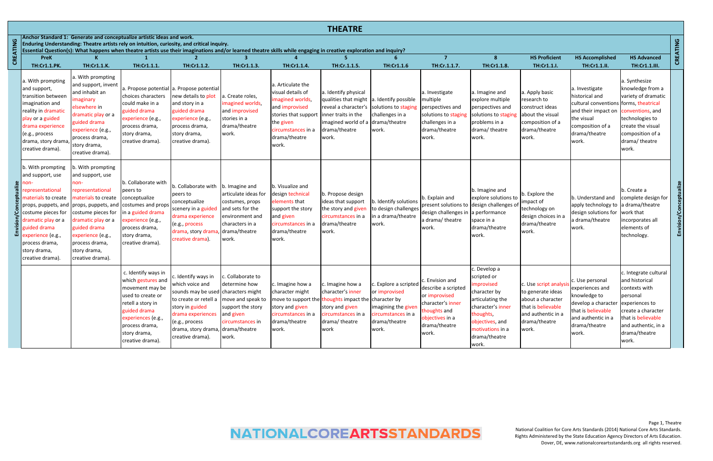|          |                                                                                                                                                                                                                                                                                                                         |                                                                                                                                                                                                                                                                                                                                            |                                                                                                                                                                                                    |                                                                                                                                                                                                                                                 |                                                                                                            |                                                                                                                                                                   | <b>THEATRE</b>                                                                                                                                                                                                                             |                                                                                      |                                                                                                                                           |                                                                                                                                                                                  |                                                                                                                                                        |                                                                                                                                                               |                                                                                                                                                                                    |             |
|----------|-------------------------------------------------------------------------------------------------------------------------------------------------------------------------------------------------------------------------------------------------------------------------------------------------------------------------|--------------------------------------------------------------------------------------------------------------------------------------------------------------------------------------------------------------------------------------------------------------------------------------------------------------------------------------------|----------------------------------------------------------------------------------------------------------------------------------------------------------------------------------------------------|-------------------------------------------------------------------------------------------------------------------------------------------------------------------------------------------------------------------------------------------------|------------------------------------------------------------------------------------------------------------|-------------------------------------------------------------------------------------------------------------------------------------------------------------------|--------------------------------------------------------------------------------------------------------------------------------------------------------------------------------------------------------------------------------------------|--------------------------------------------------------------------------------------|-------------------------------------------------------------------------------------------------------------------------------------------|----------------------------------------------------------------------------------------------------------------------------------------------------------------------------------|--------------------------------------------------------------------------------------------------------------------------------------------------------|---------------------------------------------------------------------------------------------------------------------------------------------------------------|------------------------------------------------------------------------------------------------------------------------------------------------------------------------------------|-------------|
| CREATING |                                                                                                                                                                                                                                                                                                                         | Anchor Standard 1: Generate and conceptualize artistic ideas and work.<br>Enduring Understanding: Theatre artists rely on intuition, curiosity, and critical inquiry.<br>Essential Question(s): What happens when theatre artists use their imaginations and/or learned theatre skills while engaging in creative exploration and inquiry? |                                                                                                                                                                                                    |                                                                                                                                                                                                                                                 |                                                                                                            |                                                                                                                                                                   |                                                                                                                                                                                                                                            |                                                                                      |                                                                                                                                           |                                                                                                                                                                                  |                                                                                                                                                        |                                                                                                                                                               |                                                                                                                                                                                    | CREATING    |
|          | <b>PreK</b>                                                                                                                                                                                                                                                                                                             |                                                                                                                                                                                                                                                                                                                                            | $\mathbf 1$                                                                                                                                                                                        |                                                                                                                                                                                                                                                 | 3                                                                                                          |                                                                                                                                                                   |                                                                                                                                                                                                                                            |                                                                                      | $\overline{7}$                                                                                                                            | $\mathbf{R}$                                                                                                                                                                     | <b>HS Proficient</b>                                                                                                                                   | <b>HS Accomplished</b>                                                                                                                                        | <b>HS Advanced</b>                                                                                                                                                                 |             |
|          | TH:Cr1.1.PK.                                                                                                                                                                                                                                                                                                            | TH:Cr1.1.K.                                                                                                                                                                                                                                                                                                                                | TH:Cr1.1.1.                                                                                                                                                                                        | TH:Cr1.1.2.                                                                                                                                                                                                                                     | TH:Cr1.1.3.                                                                                                | TH:Cr1.1.4.                                                                                                                                                       | TH:Cr.1.1.5.                                                                                                                                                                                                                               | TH:Cr1.1.6                                                                           | TH:Cr.1.1.7.                                                                                                                              | TH:Cr1.1.8.                                                                                                                                                                      | TH:Cr1.1.I.                                                                                                                                            | TH:Cr1.1.II.                                                                                                                                                  | TH:Cr1.1.III.                                                                                                                                                                      |             |
|          | a. With prompting<br>and support,<br>transition between<br>imagination and<br>reality in dramatic<br>play or a guided<br>drama experience<br>(e.g., process<br>drama, story drama<br>creative drama).                                                                                                                   | a. With prompting<br>and support, invent<br>and inhabit an<br>imaginary<br>elsewhere in<br>dramatic play or a<br>guided drama<br>experience (e.g.,<br>process drama,<br>story drama,<br>creative drama).                                                                                                                                   | choices characters<br>could make in a<br>guided drama<br>experience (e.g.,<br>process drama,<br>story drama,<br>creative drama).                                                                   | a. Propose potential a. Propose potential<br>new details to plot<br>and story in a<br>guided drama<br>experience (e.g.,<br>process drama,<br>story drama,<br>creative drama).                                                                   | a. Create roles,<br>imagined worlds,<br>and improvised<br>stories in a<br>drama/theatre<br>work.           | a. Articulate the<br>visual details of<br>imagined worlds,<br>and improvised<br>stories that support<br>the given<br>circumstances in a<br>drama/theatre<br>work. | a. Identify physical<br>qualities that might<br>reveal a character's<br>inner traits in the<br>imagined world of a drama/theatre<br>drama/theatre<br>work.                                                                                 | a. Identify possible<br>solutions to staging<br>challenges in a<br>work.             | a. Investigate<br>multiple<br>perspectives and<br>solutions to staging<br>challenges in a<br>drama/theatre<br>work.                       | a. Imagine and<br>explore multiple<br>perspectives and<br>solutions to staging<br>problems in a<br>drama/theatre<br>work.                                                        | a. Apply basic<br>research to<br>construct ideas<br>about the visual<br>composition of a<br>drama/theatre<br>work.                                     | a. Investigate<br>historical and<br>cultural conventions forms, theatrical<br>and their impact on<br>the visual<br>composition of a<br>drama/theatre<br>work. | a. Synthesize<br>knowledge from a<br>variety of dramatic<br>conventions, and<br>technologies to<br>create the visual<br>composition of a<br>drama/theatre<br>work.                 |             |
|          | b. With prompting<br>and support, use<br>$\frac{10}{10}$ non-<br>$\frac{10}{10}$ repro<br>representational<br>$\frac{1}{2}$ materials to create<br>costume pieces for<br>or a dramatic play or a<br>$\frac{12}{5}$ guided drama<br>$\mathbf{E}$ experience (e.g.,<br>process drama,<br>story drama,<br>creative drama). | b. With prompting<br>and support, use<br>non-<br>representational<br>materials to create<br>props, puppets, and  props, puppets, and<br>costume pieces for<br>dramatic play or a<br>guided drama<br>experience (e.g.,<br>process drama,<br>story drama,<br>creative drama).                                                                | b. Collaborate with<br>peers to<br>conceptualize<br>costumes and props<br>in a guided drama<br>experience (e.g.,<br>process drama,<br>story drama,<br>creative drama).                             | . Collaborate with b. Imagine and<br>peers to<br>conceptualize<br>scenery in a guided<br>drama experience<br>(e.g., process<br>drama, story drama, drama/theatre<br>creative drama).                                                            | articulate ideas for<br>costumes, props<br>and sets for the<br>environment and<br>characters in a<br>work. | b. Visualize and<br>design technical<br>elements that<br>support the story<br>and given<br>circumstances in a<br>drama/theatre<br>work.                           | b. Propose design<br>ideas that support<br>the story and given<br>circumstances in a<br>drama/theatre<br>work.                                                                                                                             | b. Identify solutions<br>to design challenges<br>in a drama/theatre<br>work.         | b. Explain and<br>design challenges in<br>a drama/theatre<br>work.                                                                        | b. Imagine and<br>explore solutions to<br>present solutions to design challenges of<br>a performance<br>space in a<br>drama/theatre<br>work.                                     | b. Explore the<br>impact of<br>technology on<br>design choices in a<br>drama/theatre<br>work.                                                          | b. Understand and<br>apply technology to a drama/theatre<br>design solutions for<br>a drama/theatre<br>work.                                                  | . Create a<br>complete design for<br>work that<br>incorporates all<br>elements of<br>technology.                                                                                   | Envision/Co |
|          |                                                                                                                                                                                                                                                                                                                         |                                                                                                                                                                                                                                                                                                                                            | c. Identify ways in<br>which gestures and<br>movement may be<br>used to create or<br>retell a story in<br>guided drama<br>experiences (e.g.,<br>process drama,<br>story drama,<br>creative drama). | c. Identify ways in<br>which voice and<br>sounds may be used characters might<br>to create or retell a $ $ move and speak to<br>story in guided<br>drama experiences<br>(e.g., process<br>drama, story drama, drama/theatre<br>creative drama). | c. Collaborate to<br>determine how<br>support the story<br>and given<br>circumstances in<br>work.          | character might<br>story and given<br>circumstances in a<br>drama/theatre<br>work.                                                                                | c. Imagine how a $\left  c \right $ . Imagine how a $\left  c \right $ . Explore a scripted<br>character's inner<br>move to support the thoughts impact the character by<br>story and given<br>circumstances in a<br>drama/theatre<br>work | or improvised<br>imagining the given<br>circumstances in a<br>drama/theatre<br>work. | c. Envision and<br>describe a scripted<br>or improvised<br>character's inner<br>thoughts and<br>objectives in a<br>drama/theatre<br>work. | c. Develop a<br>scripted or<br>improvised<br>character by<br>articulating the<br>character's inner<br>thoughts,<br>objectives, and<br>motivations in a<br>drama/theatre<br>work. | c. Use script analysis c. Use personal<br>to generate ideas<br>about a character<br>that is believable<br>and authentic in a<br>drama/theatre<br>work. | experiences and<br>knowledge to<br>develop a character<br>that is believable<br>and authentic in a<br>drama/theatre<br>work.                                  | . Integrate cultural<br>and historical<br>contexts with<br>personal<br>experiences to<br>create a character<br>that is believable<br>and authentic, in a<br>drama/theatre<br>work. |             |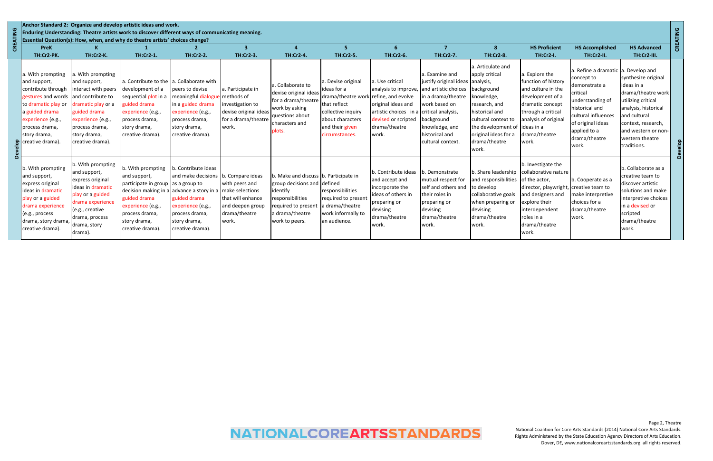| ATING |                                                                                                                                                                                                                    | menor blandard 2. Organize and develop artistic ideas and work.                                                                                                                    | Essential Question(s): How, when, and why do theatre artists' choices change?                                                                                              | Enduring Understanding: Theatre artists work to discover different ways of communicating meaning.                                                                               |                                                                                                                          |                                                                                                                                                                  |                                                                                                                                                                           |                                                                                                                                                                                 |                                                                                                                                                                  |                                                                                                                                                                                                              |                                                                                                                                                                                      |                                                                                                                                                                                                            |                                                                                                                                                                                                      | CREATING |
|-------|--------------------------------------------------------------------------------------------------------------------------------------------------------------------------------------------------------------------|------------------------------------------------------------------------------------------------------------------------------------------------------------------------------------|----------------------------------------------------------------------------------------------------------------------------------------------------------------------------|---------------------------------------------------------------------------------------------------------------------------------------------------------------------------------|--------------------------------------------------------------------------------------------------------------------------|------------------------------------------------------------------------------------------------------------------------------------------------------------------|---------------------------------------------------------------------------------------------------------------------------------------------------------------------------|---------------------------------------------------------------------------------------------------------------------------------------------------------------------------------|------------------------------------------------------------------------------------------------------------------------------------------------------------------|--------------------------------------------------------------------------------------------------------------------------------------------------------------------------------------------------------------|--------------------------------------------------------------------------------------------------------------------------------------------------------------------------------------|------------------------------------------------------------------------------------------------------------------------------------------------------------------------------------------------------------|------------------------------------------------------------------------------------------------------------------------------------------------------------------------------------------------------|----------|
| ႜၒ    | <b>PreK</b>                                                                                                                                                                                                        |                                                                                                                                                                                    |                                                                                                                                                                            |                                                                                                                                                                                 |                                                                                                                          |                                                                                                                                                                  |                                                                                                                                                                           |                                                                                                                                                                                 |                                                                                                                                                                  |                                                                                                                                                                                                              | <b>HS Proficient</b>                                                                                                                                                                 | <b>HS Accomplished</b>                                                                                                                                                                                     | <b>HS Advanced</b>                                                                                                                                                                                   |          |
|       | TH:Cr2-PK.                                                                                                                                                                                                         | TH:Cr2-K.                                                                                                                                                                          | <b>TH:Cr2-1.</b>                                                                                                                                                           | <b>TH:Cr2-2.</b>                                                                                                                                                                | TH:Cr2-3.                                                                                                                | <b>TH:Cr2-4.</b>                                                                                                                                                 | TH:Cr2-5.                                                                                                                                                                 | TH:Cr2-6.                                                                                                                                                                       | TH:Cr2-7.                                                                                                                                                        | <b>TH:Cr2-8.</b>                                                                                                                                                                                             | <b>TH:Cr2-I.</b>                                                                                                                                                                     | TH:Cr2-II.                                                                                                                                                                                                 | TH:Cr2-III.                                                                                                                                                                                          |          |
| ă     | a. With prompting<br>and support,<br>contribute through<br>gestures and words and contribute to<br>to dramatic play or<br>a guided drama<br>experience (e.g.,<br>process drama,<br>story drama,<br>reative drama). | a. With prompting<br>and support,<br>interact with peers<br>dramatic play or a<br>guided drama<br>experience (e.g.,<br>process drama,<br>story drama,<br>creative drama).          | development of a<br>sequential plot in a<br>zuided drama<br>experience (e.g.,<br>process drama,<br>story drama,<br>creative drama).                                        | Contribute to the a. Collaborate with<br>peers to devise<br>meaningful dialogue<br>in a guided drama<br>experience (e.g.,<br>process drama,<br>story drama,<br>creative drama). | a. Participate in<br>methods of<br>investigation to<br>devise original ideas<br>for a drama/theatre<br>work.             | a. Collaborate to<br>devise original ideas<br>for a drama/theatre<br>work by asking<br>questions about<br>characters and<br>plots.                               | a. Devise original<br>ideas for a<br>drama/theatre work refine, and evolve<br>that reflect<br>collective inquiry<br>about characters<br>and their given<br>circumstances. | ı. Use critical<br>analysis to improve, and artistic choices<br>original ideas and<br>artistic choices in a critical analysis,<br>devised or scripted<br>drama/theatre<br>work. | a. Examine and<br>justify original ideas analysis,<br>in a drama/theatre<br>work based on<br>background<br>knowledge, and<br>historical and<br>cultural context. | a. Articulate and<br>apply critical<br>background<br>knowledge,<br>research, and<br>historical and<br>cultural context to<br>the development of ideas in a<br>original ideas for a<br>drama/theatre<br>work. | a. Explore the<br>function of history<br>and culture in the<br>development of a<br>dramatic concept<br>through a critical<br>analysis of original<br>drama/theatre<br>work.          | a. Refine a dramatic a. Develop and<br>concept to<br>demonstrate a<br>critical<br>understanding of<br>historical and<br>cultural influences<br>of original ideas<br>applied to a<br>drama/theatre<br>work. | synthesize original<br>ideas in a<br>drama/theatre work<br>utilizing critical<br>analysis, historical<br>and cultural<br>context, research,<br>and western or non-<br>western theatre<br>traditions. | $\Omega$ |
|       | b. With prompting<br>and support,<br>express original<br>ideas in dramatic<br>play or a guided<br>drama experience<br>(e.g., process<br>drama, story drama,<br>creative drama).                                    | b. With prompting<br>and support,<br>express original<br>ideas in dramatic<br>play or a guided<br>drama experience<br>(e.g., creative<br>drama, process<br>drama, story<br>drama). | b. With prompting<br>and support,<br>participate in group as a group to<br>guided drama<br>experience (e.g. <i>,</i><br>process drama,<br>story drama,<br>creative drama). | Contribute ideas<br>and make decisions<br>decision making in a advance a story in a<br>guided drama<br>experience (e.g.,<br>process drama,<br>story drama,<br>creative drama).  | b. Compare ideas<br>with peers and<br>make selections<br>that will enhance<br>and deepen group<br>drama/theatre<br>work. | b. Make and discuss b. Participate in<br>group decisions and defined<br>identify<br>responsibilities<br>required to present<br>a drama/theatre<br>work to peers. | responsibilities<br>required to present<br>a drama/theatre<br>work informally to<br>an audience.                                                                          | b. Contribute ideas<br>and accept and<br>incorporate the<br>ideas of others in<br>preparing or<br>devising<br>drama/theatre<br>work.                                            | b. Demonstrate<br>mutual respect for<br>self and others and<br>their roles in<br>preparing or<br>devising<br>drama/theatre<br>work.                              | b. Share leadership<br>and responsibilities<br>to develop<br>collaborative goals<br>when preparing or<br>devising<br>drama/theatre<br>work.                                                                  | b. Investigate the<br>collaborative nature<br>of the actor,<br>director, playwright,<br>and designers and<br>explore their<br>interdependent<br>roles in a<br>drama/theatre<br>work. | b. Cooperate as a<br>creative team to<br>make interpretive<br>choices for a<br>drama/theatre<br>work.                                                                                                      | . Collaborate as a<br>creative team to<br>discover artistic<br>solutions and make<br>interpretive choices<br>in a devised or<br>scripted<br>drama/theatre<br>work.                                   |          |

# **Anchor Standard 2: Organize and develop artistic ideas and work.**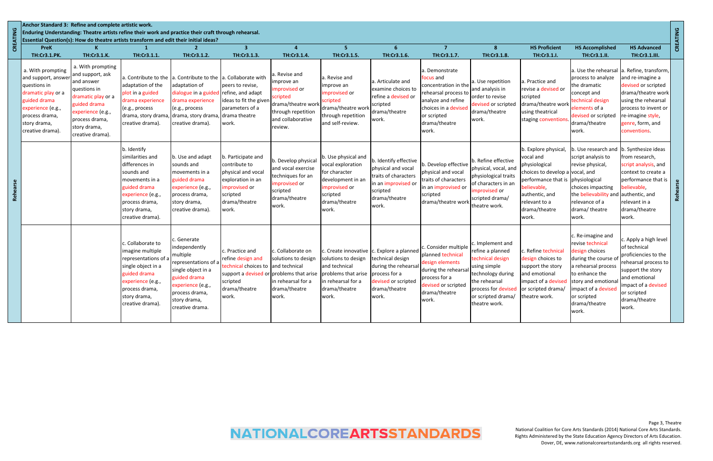| CREATING | <b>PreK</b>                                                                                                                                                                               | Anchor Standard 3: Refine and complete artistic work.                                                                                                                                               | Enduring Understanding: Theatre artists refine their work and practice their craft through rehearsal.<br>Essential Question(s): How do theatre artists transform and edit their initial ideas?<br>$\overline{1}$ | $\overline{2}$                                                                                                                                                                                             | $\overline{3}$                                                                                                                                     | $\mathbf{A}$                                                                                                                                       | -5.                                                                                                                                                      | 6                                                                                                                                | $\overline{7}$                                                                                                                                                                    | 8 <sup>°</sup>                                                                                                                                                            | <b>HS Proficient</b>                                                                                                                                                          | <b>HS Accomplished</b>                                                                                                                                                                                       | <b>HS Advanced</b>                                                                                                                                                                                                                   | CREATING |
|----------|-------------------------------------------------------------------------------------------------------------------------------------------------------------------------------------------|-----------------------------------------------------------------------------------------------------------------------------------------------------------------------------------------------------|------------------------------------------------------------------------------------------------------------------------------------------------------------------------------------------------------------------|------------------------------------------------------------------------------------------------------------------------------------------------------------------------------------------------------------|----------------------------------------------------------------------------------------------------------------------------------------------------|----------------------------------------------------------------------------------------------------------------------------------------------------|----------------------------------------------------------------------------------------------------------------------------------------------------------|----------------------------------------------------------------------------------------------------------------------------------|-----------------------------------------------------------------------------------------------------------------------------------------------------------------------------------|---------------------------------------------------------------------------------------------------------------------------------------------------------------------------|-------------------------------------------------------------------------------------------------------------------------------------------------------------------------------|--------------------------------------------------------------------------------------------------------------------------------------------------------------------------------------------------------------|--------------------------------------------------------------------------------------------------------------------------------------------------------------------------------------------------------------------------------------|----------|
|          | TH:Cr3.1.PK.<br>a. With prompting<br>and support, answer<br>questions in<br>dramatic play or a<br>guided drama<br>experience (e.g.,<br>process drama,<br>story drama,<br>creative drama). | TH:Cr3.1.K.<br>a. With prompting<br>and support, ask<br>and answer<br>questions in<br>dramatic play or a<br>guided drama<br>experience (e.g.,<br>process drama,<br>story drama,<br>creative drama). | TH:Cr3.1.1.<br>adaptation of the<br>plot in a guided<br>drama experience<br>(e.g., process<br>creative drama).                                                                                                   | TH:Cr3.1.2.<br>a. Contribute to the $ a$ . Contribute to the<br>adaptation of<br>dialogue in a guided<br>drama experience<br>(e.g., process<br>drama, story drama, drama, story drama,<br>creative drama). | TH:Cr3.1.3.<br>a. Collaborate with<br>peers to revise,<br>refine, and adapt<br>ideas to fit the given<br>parameters of a<br>drama theatre<br>work. | TH:Cr3.1.4.<br>a. Revise and<br>mprove an<br>improvised or<br>scripted<br>drama/theatre worl<br>through repetition<br>and collaborative<br>review. | TH:Cr3.1.5.<br>a. Revise and<br>improve an<br>improvised or<br>scripted<br>drama/theatre work<br>through repetition<br>and self-review.                  | TH:Cr3.1.6.<br>a. Articulate and<br>examine choices to<br>refine a devised or<br>scripted<br>drama/theatre<br>work.              | TH:Cr3.1.7.<br>a. Demonstrate<br>focus and<br>concentration in the<br>rehearsal process to<br>analyze and refine<br>choices in a devised<br>or scripted<br>drama/theatre<br>work. | TH:Cr3.1.8.<br>. Use repetition<br>and analysis in<br>order to revise<br>devised or scripted<br>drama/theatre<br>work.                                                    | TH:Cr3.1.I.<br>. Practice and<br>revise a devised or<br>scripted<br>drama/theatre worl<br>using theatrical<br>staging conventions                                             | TH:Cr3.1.II.<br>process to analyze<br>the dramatic<br>concept and<br>technical design<br>elements of a<br>devised or scripted<br>drama/theatre<br>work.                                                      | TH:Cr3.1.III.<br>a. Use the rehearsal a. Refine, transform,<br>and re-imagine a<br>devised or scripted<br>drama/theatre work<br>using the rehearsal<br>process to invent or<br>re-imagine style,<br>genre, form, and<br>conventions. |          |
| Rehearse |                                                                                                                                                                                           |                                                                                                                                                                                                     | o. Identify<br>similarities and<br>differences in<br>sounds and<br>movements in a<br>zuided drama<br>experience (e.g.,<br>process drama,<br>story drama,<br>creative drama).                                     | b. Use and adapt<br>sounds and<br>movements in a<br>guided drama<br>experience (e.g.,<br>process drama,<br>story drama,<br>creative drama).                                                                | b. Participate and<br>contribute to<br>physical and vocal<br>exploration in an<br>improvised or<br>scripted<br>drama/theatre<br>work.              | b. Develop physical<br>and vocal exercise<br>techniques for an<br>improvised or<br>scripted<br>drama/theatre<br>work.                              | b. Use physical and<br>vocal exploration<br>for character<br>development in an<br>improvised or<br>scripted<br>drama/theatre<br>work.                    | b. Identify effective<br>physical and vocal<br>traits of characters<br>in an improvised or<br>scripted<br>drama/theatre<br>work. | . Develop effective<br>ohysical and vocal<br>traits of characters<br>in an improvised or<br>scripted<br>drama/theatre work                                                        | . Refine effective<br>physical, vocal, and<br>physiological traits<br>of characters in an<br>mprovised or<br>scripted drama/<br>theatre work.                             | b. Explore physical,<br>vocal and<br>physiological<br>choices to develop a<br>performance that is<br>believable,<br>authentic, and<br>relevant to a<br>drama/theatre<br>work. | . Use research and<br>script analysis to<br>revise physical,<br>vocal, and<br>physiological<br>choices impacting<br>the believability and authentic, and<br>relevance of a<br>drama/theatre<br>work.         | b. Synthesize ideas<br>from research,<br>script analysis, and<br>context to create a<br>performance that is<br>believable.<br>relevant in a<br>drama/theatre<br>work.                                                                | Rehearse |
|          |                                                                                                                                                                                           |                                                                                                                                                                                                     | . Collaborate to<br>magine multiple<br>representations of a<br>single object in a<br>guided drama<br>experience (e.g.,<br>process drama,<br>story drama,<br>creative drama).                                     | Generate<br>ndependently<br>multiple<br>representations of a<br>single object in a<br>guided drama<br>experience (e.g.,<br>process drama,<br>story drama,<br>creative drama.                               | c. Practice and<br>refine design and<br>technical choices to<br>support a devised or<br>scripted<br>drama/theatre<br>work.                         | c. Collaborate on<br>solutions to design<br>and technical<br>problems that arise<br>in rehearsal for a<br>drama/theatre<br>work.                   | c. Create innovative c. Explore a planned<br>solutions to design<br>and technical<br>problems that arise<br>in rehearsal for a<br>drama/theatre<br>work. | technical design<br>during the rehearsal<br>process for a<br>devised or scripted<br>drama/theatre<br>work.                       | Consider multiple<br>planned technical<br>design elements<br>during the rehearsal<br>process for a<br>devised or scripted<br>drama/theatre<br>work.                               | Implement and<br>refine a planned<br>technical design<br>using simple<br>technology during<br>the rehearsal<br>process for devised<br>or scripted drama/<br>theatre work. | c. Refine technical<br>design choices to<br>support the story<br>and emotional<br>impact of a devised<br>or scripted drama/<br>theatre work.                                  | . Re-imagine and<br>revise technical<br>design choices<br>during the course o<br>a rehearsal process<br>to enhance the<br>story and emotiona<br>impact of a devised<br>or scripted<br>drama/theatre<br>work. | c. Apply a high level<br>of technical<br>proficiencies to the<br>rehearsal process to<br>support the story<br>and emotional<br>impact of a devised<br>or scripted<br>drama/theatre<br>work.                                          |          |

## **Anchor Standard 3: Refine and complete artistic work.**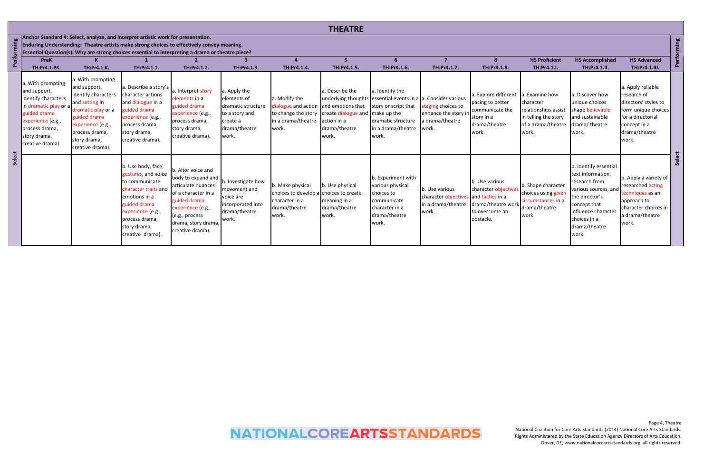|            |                                                                                                                                                                                                                                                                                                                     |                                                                                                                                                                                             |                                                                                                                                                                                                 |                                                                                                                                                                                         |                                                                                                           |                                                                                                        | <b>THEATRE</b>                                                                                                  |                                                                                                                                                                     |                                                                                        |                                                                                                    |                                                                                                           |                                                                                                                                                                                        |                                                                                                                                                |        |
|------------|---------------------------------------------------------------------------------------------------------------------------------------------------------------------------------------------------------------------------------------------------------------------------------------------------------------------|---------------------------------------------------------------------------------------------------------------------------------------------------------------------------------------------|-------------------------------------------------------------------------------------------------------------------------------------------------------------------------------------------------|-----------------------------------------------------------------------------------------------------------------------------------------------------------------------------------------|-----------------------------------------------------------------------------------------------------------|--------------------------------------------------------------------------------------------------------|-----------------------------------------------------------------------------------------------------------------|---------------------------------------------------------------------------------------------------------------------------------------------------------------------|----------------------------------------------------------------------------------------|----------------------------------------------------------------------------------------------------|-----------------------------------------------------------------------------------------------------------|----------------------------------------------------------------------------------------------------------------------------------------------------------------------------------------|------------------------------------------------------------------------------------------------------------------------------------------------|--------|
| Performing | Anchor Standard 4: Select, analyze, and interpret artistic work for presentation.<br>Enduring Understanding: Theatre artists make strong choices to effectively convey meaning.<br>Essential Question(s): Why are strong choices essential to interpreting a drama or theatre piece?<br><b>PreK</b><br>TH:Pr4.1.PK. | TH:Pr4.1.K.                                                                                                                                                                                 | TH:Pr4.1.1.                                                                                                                                                                                     | TH:Pr4.1.2.                                                                                                                                                                             | TH:Pr4.1.3.                                                                                               | TH:Pr4.1.4.                                                                                            | TH:Pr4.1.5.                                                                                                     | TH:Pr4.1.6.                                                                                                                                                         | TH:Pr4.1.7.                                                                            | 8<br>TH:Pr4.1.8.                                                                                   | <b>HS Proficient</b><br>TH:Pr4.1.I.                                                                       | <b>HS Accomplished</b><br>TH:Pr4.1.II.                                                                                                                                                 | <b>HS Advanced</b><br>TH:Pr4.1.III.                                                                                                            | Õ.     |
|            | a. With prompting<br>and support,<br>identify characters<br>in dramatic play or a<br>guided drama<br>experience (e.g.,<br>process drama,<br>story drama,<br>creative drama).                                                                                                                                        | a. With prompting<br>and support,<br>identify characters<br>and setting in<br>dramatic play or a<br>guided drama<br>experience (e.g.,<br>process drama,<br>story drama,<br>creative drama). | . Describe a story's<br>character actions<br>and dialogue in a<br>guided drama<br>experience (e.g.,<br>process drama,<br>story drama,<br>creative drama).                                       | a. Interpret story<br>elements in a<br>guided drama<br>experience (e.g.,<br>process drama,<br>story drama,<br>creative drama).                                                          | a. Apply the<br>elements of<br>dramatic structure<br>to a story and<br>create a<br>drama/theatre<br>work. | a. Modify the<br>dialogue and action and emotions that<br>in a drama/theatre<br>work.                  | a. Describe the<br>to change the story create dialogue and make up the<br>action in a<br>drama/theatre<br>work. | a. Identify the<br>underlying thoughts essential events in a a. Consider various<br>story or script that<br>dramatic structure<br>in a drama/theatre work.<br>work. | staging choices to<br>enhance the story in<br>la drama/theatre                         | . Explore different<br>pacing to better<br>communicate the<br>story in a<br>drama/theatre<br>work. | . Examine how<br>character<br>relationships assist<br>in telling the story<br>of a drama/theatre<br>work. | a. Discover how<br>unique choices<br>shape believable<br>and sustainable<br>drama/theatre<br>work.                                                                                     | a. Apply reliable<br>research of<br>directors' styles to<br>form unique choices<br>for a directorial<br>concept in a<br>drama/theatre<br>work. |        |
| Select     |                                                                                                                                                                                                                                                                                                                     |                                                                                                                                                                                             | b. Use body, face,<br>gestures, and voice<br>to communicate<br>character traits and<br>emotions in a<br>guided drama<br>experience (e.g.,<br>process drama,<br>story drama,<br>creative drama). | b. Alter voice and<br>body to expand and<br>articulate nuances<br>of a character in a<br>guided drama<br>experience (e.g.,<br>(e.g., process)<br>drama, story drama<br>creative drama). | b. Investigate how<br>movement and<br>voice are<br>incorporated into<br>drama/theatre<br>work.            | b. Make physical<br>choices to develop a choices to create<br>character in a<br>drama/theatre<br>work. | b. Use physical<br>meaning in a<br>drama/theatre<br>work.                                                       | b. Experiment with<br>various physical<br>choices to<br>communicate<br>character in a<br>drama/theatre<br>work.                                                     | b. Use various<br>character objectives and tactics in a<br>in a drama/theatre<br>work. | b. Use various<br>character objective<br>drama/theatre work<br>to overcome an<br>obstacle.         | b. Shape character<br>choices using given<br>circumstances in a<br>drama/theatre<br>work.                 | b. Identify essential<br>text information,<br>research from<br>various sources, and<br>the director's<br>concept that<br>influence character<br>choices in a<br>drama/theatre<br>work. | b. Apply a variety of<br>researched acting<br>techniques as an<br>approach to<br>character choices in<br>a drama/theatre<br>work.              | Select |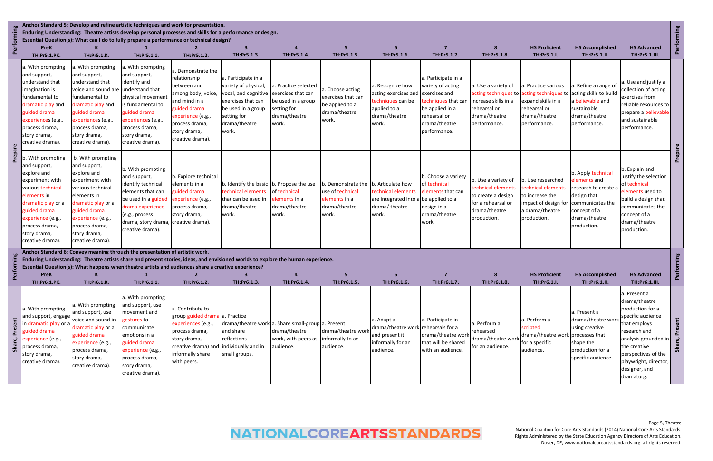| Perfor            | <b>PreK</b>                                                                                                                                                                                                               |                                                                                                                                                                                                                              |                                                                                                                                                                                                                          | Anchor Standard 5: Develop and refine artistic techniques and work for presentation.<br>Enduring Understanding: Theatre artists develop personal processes and skills for a performance or design.<br>Essential Question(s): What can I do to fully prepare a performance or technical design? | $\mathbf{3}$                                                                                                                                                                               |                                                                                                         |                                                                                                     |                                                                                                                        |                                                                                                                                                                     | 8                                                                                                                     | <b>HS Proficient</b>                                                                                                                                                          | <b>HS Accomplished</b>                                                                                                                        | <b>HS Advanced</b>                                                                                                                                                                                                            |                       |
|-------------------|---------------------------------------------------------------------------------------------------------------------------------------------------------------------------------------------------------------------------|------------------------------------------------------------------------------------------------------------------------------------------------------------------------------------------------------------------------------|--------------------------------------------------------------------------------------------------------------------------------------------------------------------------------------------------------------------------|------------------------------------------------------------------------------------------------------------------------------------------------------------------------------------------------------------------------------------------------------------------------------------------------|--------------------------------------------------------------------------------------------------------------------------------------------------------------------------------------------|---------------------------------------------------------------------------------------------------------|-----------------------------------------------------------------------------------------------------|------------------------------------------------------------------------------------------------------------------------|---------------------------------------------------------------------------------------------------------------------------------------------------------------------|-----------------------------------------------------------------------------------------------------------------------|-------------------------------------------------------------------------------------------------------------------------------------------------------------------------------|-----------------------------------------------------------------------------------------------------------------------------------------------|-------------------------------------------------------------------------------------------------------------------------------------------------------------------------------------------------------------------------------|-----------------------|
| Prepare           | TH:Pr5.1.PK.<br>a. With prompting<br>and support,<br>understand that<br>imagination is<br>fundamental to<br>dramatic play and<br>guided drama<br>experiences (e.g.,<br>process drama,<br>story drama,<br>creative drama). | TH:Pr5.1.K.<br>. With prompting<br>and support,<br>understand that<br>voice and sound are<br>fundamental to<br>dramatic play and<br>guided drama<br>experiences (e.g.,<br>process drama,<br>story drama,<br>creative drama). | TH:Pr5.1.1.<br>a. With prompting<br>and support,<br>identify and<br>understand that<br>physical movement<br>is fundamental to<br>guided drama<br>experiences (e.g.,<br>process drama,<br>story drama,<br>creative drama) | TH:Pr5.1.2.<br>. Demonstrate the<br>relationship<br>between and<br>among body, voice,<br>and mind in a<br>guided drama<br>experience (e.g.,<br>process drama,<br>story drama,<br>creative drama).                                                                                              | TH:Pr5.1.3.<br>a. Participate in a<br>variety of physical,<br>vocal, and cognitive exercises that can<br>exercises that can<br>be used in a group<br>setting for<br>drama/theatre<br>work. | TH:Pr5.1.4.<br>a. Practice selected<br>be used in a group<br>setting for<br>drama/theatre<br>work.      | TH:Pr5.1.5.<br>a. Choose acting<br>exercises that can<br>be applied to a<br>drama/theatre<br>work.  | TH:Pr5.1.6.<br>a. Recognize how<br>acting exercises and<br>techniques can be<br>applied to a<br>drama/theatre<br>work. | TH:Pr5.1.7.<br>a. Participate in a<br>variety of acting<br>exercises and<br>techniques that can<br>be applied in a<br>rehearsal or<br>drama/theatre<br>performance. | TH:Pr5.1.8.<br>. Use a variety of<br>increase skills in a<br>rehearsal or<br>drama/theatre<br>performance.            | TH:Pr5.1.I.<br>a. Practice various<br>acting techniques to acting techniques to acting skills to build<br>expand skills in a<br>rehearsal or<br>drama/theatre<br>performance. | TH:Pr5.1.II.<br>a. Refine a range of<br>a believable and<br>sustainable<br>drama/theatre<br>performance.                                      | TH:Pr5.1.III.<br>a. Use and justify a<br>collection of acting<br>exercises from<br>reliable resources to<br>prepare a believable<br>and sustainable<br>performance.                                                           | e)                    |
|                   | . With prompting<br>and support,<br>explore and<br>experiment with<br>various technical<br>elements in<br>dramatic play or a<br>guided drama<br>experience (e.g.,<br>process drama,<br>story drama,<br>creative drama).   | b. With prompting<br>and support,<br>explore and<br>experiment with<br>various technical<br>elements in<br>dramatic play or a<br>guided drama<br>experience (e.g.,<br>process drama,<br>story drama,<br>creative drama).     | . With prompting<br>and support,<br>identify technical<br>elements that can<br>be used in a guided experience (e.g.,<br>drama experience<br>(e.g., process<br>drama, story drama, creative drama).<br>creative drama)    | b. Explore technical<br>elements in a<br>uided drama<br>process drama,<br>story drama,                                                                                                                                                                                                         | b. Identify the basic $\ $ b. Propose the use<br>technical elements<br>that can be used in<br>drama/theatre<br>work.                                                                       | of technical<br>elements in a<br>drama/theatre<br>work.                                                 | b. Demonstrate the b. Articulate how<br>use of technical<br>elements in a<br>drama/theatre<br>work. | technical elements<br>are integrated into a be applied to a<br>drama/theatre<br>work.                                  | Choose a variety<br>of technical<br>elements that can<br>design in a<br>drama/theatre<br>work.                                                                      | ). Use a variety of<br>technical elements<br>to create a design<br>for a rehearsal or<br>drama/theatre<br>production. | b. Use researched<br>technical elements<br>to increase the<br>impact of design for<br>a drama/theatre<br>production.                                                          | b. Apply technical<br>elements and<br>research to create a<br>design that<br>communicates the<br>concept of a<br>drama/theatre<br>production. | b. Explain and<br>justify the selection<br>of technical<br>elements used to<br>build a design that<br>communicates the<br>concept of a<br>drama/theatre<br>production.                                                        | Prepa                 |
|                   |                                                                                                                                                                                                                           |                                                                                                                                                                                                                              | Anchor Standard 6: Convey meaning through the presentation of artistic work.                                                                                                                                             | Enduring Understanding: Theatre artists share and present stories, ideas, and envisioned worlds to explore the human experience.<br>Essential Question(s): What happens when theatre artists and audiences share a creative experience?                                                        |                                                                                                                                                                                            |                                                                                                         |                                                                                                     |                                                                                                                        |                                                                                                                                                                     |                                                                                                                       |                                                                                                                                                                               |                                                                                                                                               |                                                                                                                                                                                                                               |                       |
| Perfor            | <b>PreK</b>                                                                                                                                                                                                               |                                                                                                                                                                                                                              |                                                                                                                                                                                                                          |                                                                                                                                                                                                                                                                                                |                                                                                                                                                                                            |                                                                                                         |                                                                                                     |                                                                                                                        |                                                                                                                                                                     | 8                                                                                                                     | <b>HS Proficient</b>                                                                                                                                                          | <b>HS Accomplished</b>                                                                                                                        | <b>HS Advanced</b>                                                                                                                                                                                                            |                       |
|                   | TH:Pr6.1.PK.                                                                                                                                                                                                              | TH:Pr6.1.K.                                                                                                                                                                                                                  | TH:Pr6.1.1.                                                                                                                                                                                                              | TH:Pr6.1.2.                                                                                                                                                                                                                                                                                    | TH:Pr6.1.3.                                                                                                                                                                                | TH:Pr6.1.4.                                                                                             | TH:Pr6.1.5.                                                                                         | TH:Pr6.1.6.                                                                                                            | TH:Pr6.1.7.                                                                                                                                                         | TH:Pr6.1.8.                                                                                                           | TH:Pr6.1.I.                                                                                                                                                                   | TH:Pr6.1.II.                                                                                                                                  | TH:Pr6.1.III.                                                                                                                                                                                                                 |                       |
| Present<br>Share, | a. With prompting<br>and support, engage<br>in dramatic play or a<br>guided drama<br>experience (e.g.,<br>process drama,<br>story drama,<br>creative drama).                                                              | a. With prompting<br>and support, use<br>voice and sound in<br>dramatic play or a<br>guided drama<br>experience (e.g.,<br>process drama,<br>story drama,<br>creative drama).                                                 | a. With prompting<br>and support, use<br>movement and<br>gestures to<br>communicate<br>emotions in a<br>guided drama<br>experience (e.g.,<br>process drama,<br>story drama,<br>creative drama).                          | a. Contribute to<br>group guided drama a. Practice<br>experiences (e.g.,<br>process drama,<br>story drama,<br>creative drama) and individually and in<br>informally share<br>with peers.                                                                                                       | and share<br>reflections<br>small groups.                                                                                                                                                  | drama/theatre work a. Share small-group a. Present<br>drama/theatre<br>work, with peers as<br>audience. | drama/theatre work<br>informally to an<br>audience.                                                 | a. Adapt a<br>drama/theatre work<br>and present it<br>informally for an<br>audience.                                   | a. Participate in<br>rehearsals for a<br>drama/theatre work<br>that will be shared<br>with an audience.                                                             | a. Perform a<br>rehearsed<br>drama/theatre worl<br>for an audience.                                                   | a. Perform a<br>scripted<br>drama/theatre work processes that<br>for a specific<br>audience.                                                                                  | a. Present a<br>drama/theatre worl<br>using creative<br>shape the<br>production for a<br>specific audience.                                   | a. Present a<br>drama/theatre<br>production for a<br>specific audience<br>that employs<br>research and<br>analysis grounded in<br>the creative<br>perspectives of the<br>playwright, director,<br>designer, and<br>dramaturg. | Present<br>نه<br>Shai |

Page 5, Theatre National Coalition for Core Arts Standards (2014) National Core Arts Standards. Rights Administered by the State Education Agency Directors of Arts Education. Dover, DE, www.nationalcoreartsstandards.org all rights reserved.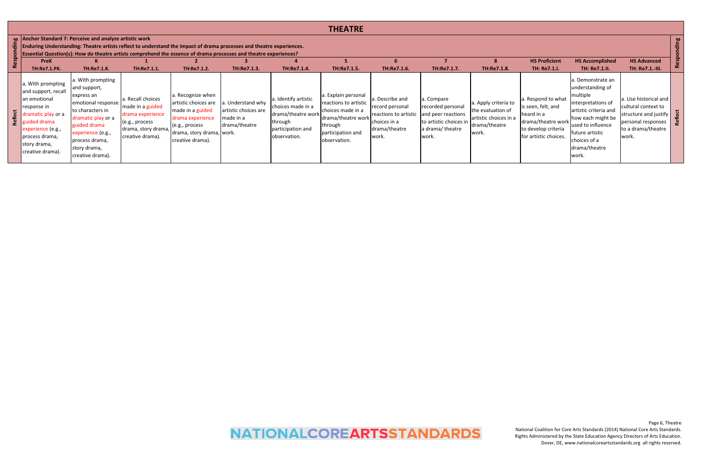|                                  |                                                                                                                                                                          |                                                                                                                                                                                                            |                                                                                                                        |                                                                                                                                                                                                                                                         |                                                                         |                                                                                                                | <b>THEATRE</b>                                                                                                                          |                                                                                                       |                                                                                                             |                                                                                             |                                                                                                                             |                                                                                                                                                                                                         |                                                                                                                            |  |
|----------------------------------|--------------------------------------------------------------------------------------------------------------------------------------------------------------------------|------------------------------------------------------------------------------------------------------------------------------------------------------------------------------------------------------------|------------------------------------------------------------------------------------------------------------------------|---------------------------------------------------------------------------------------------------------------------------------------------------------------------------------------------------------------------------------------------------------|-------------------------------------------------------------------------|----------------------------------------------------------------------------------------------------------------|-----------------------------------------------------------------------------------------------------------------------------------------|-------------------------------------------------------------------------------------------------------|-------------------------------------------------------------------------------------------------------------|---------------------------------------------------------------------------------------------|-----------------------------------------------------------------------------------------------------------------------------|---------------------------------------------------------------------------------------------------------------------------------------------------------------------------------------------------------|----------------------------------------------------------------------------------------------------------------------------|--|
| $\frac{1}{6}$<br>$\circ$<br>Resp | an Anchor Standard 7: Perceive and analyze artistic work<br>PreK<br><b>TH:Re7.1.PK.</b>                                                                                  | TH:Re7.1.K.                                                                                                                                                                                                | TH:Re7.1.1.                                                                                                            | Enduring Understanding: Theatre artists reflect to understand the impact of drama processes and theatre experiences.<br>Essential Question(s): How do theatre artists comprehend the essence of drama processes and theatre experiences?<br>TH:Re7.1.2. | TH:Re7.1.3.                                                             | TH:Re7.1.4.                                                                                                    | TH:Re7.1.5.                                                                                                                             | TH:Re7.1.6.                                                                                           | TH:Re7.1.7.                                                                                                 | TH:Re7.1.8.                                                                                 | <b>HS Proficient</b><br>TH: Re7.1.I.                                                                                        | <b>HS Accomplished</b><br><b>TH: Re7.1.II.</b>                                                                                                                                                          | <b>HS Advanced</b><br>TH: Re7.1.-III.                                                                                      |  |
|                                  | a. With prompting<br>and support, recall<br>an emotional<br>response in<br>dramatic play or a<br>experience (e.g.,<br>process drama,<br>story drama,<br>creative drama). | a. With prompting<br>and support,<br>express an<br>emotional response<br>to characters in<br>dramatic play or a<br>guided drama<br>experience (e.g.,<br>process drama,<br>story drama,<br>creative drama). | a. Recall choices<br>made in a guided<br>drama experience<br>(e.g., process<br>drama, story drama,<br>creative drama). | a. Recognize when<br>artistic choices are<br>made in a guided<br>drama experience<br>(e.g., process)<br>drama, story drama, work.<br>creative drama).                                                                                                   | a. Understand why<br>artistic choices are<br>made in a<br>drama/theatre | . Identify artistic<br>choices made in a<br>drama/theatre work<br>through<br>participation and<br>observation. | a. Explain personal<br>reactions to artistic<br>choices made in a<br>drama/theatre work<br>through<br>participation and<br>observation. | a. Describe and<br>record personal<br>reactions to artistic<br>choices in a<br>drama/theatre<br>work. | a. Compare<br>recorded personal<br>and peer reactions<br>to artistic choices in<br>a drama/theatre<br>work. | . Apply criteria to<br>the evaluation of<br>artistic choices in a<br>drama/theatre<br>work. | . Respond to what<br>is seen, felt, and<br>heard in a<br>drama/theatre work<br>to develop criteria<br>for artistic choices. | a. Demonstrate an<br>understanding of<br>multiple<br>interpretations of<br>artistic criteria and<br>how each might be<br>used to influence<br>future artistic<br>choices of a<br>drama/theatre<br>work. | a. Use historical and<br>cultural context to<br>structure and justify<br>personal responses<br>to a drama/theatre<br>work. |  |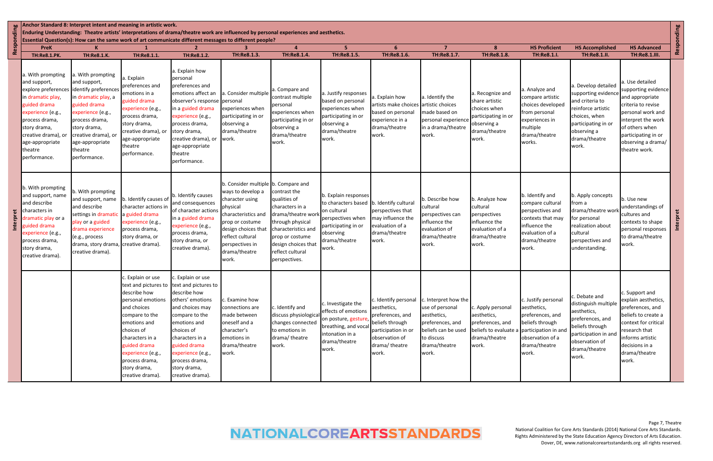|                      |                                                                                                                                                                                                                           | Anchor Standard 8: Interpret intent and meaning in artistic work.                                                                                                                                                            |                                                                                                                                                                                                                                                                               |                                                                                                                                                                                                                                                      | Enduring Understanding: Theatre artists' interpretations of drama/theatre work are influenced by personal experiences and aesthetics.<br>Essential Question(s): How can the same work of art communicate different messages to different people? |                                                                                                                                                                                                 |                                                                                                                                                                    |                                                                                                                                               |                                                                                                                                           |                                                                                                                              |                                                                                                                                            |                                                                                                                                                                     |                                                                                                                                                                                                            | nding                |
|----------------------|---------------------------------------------------------------------------------------------------------------------------------------------------------------------------------------------------------------------------|------------------------------------------------------------------------------------------------------------------------------------------------------------------------------------------------------------------------------|-------------------------------------------------------------------------------------------------------------------------------------------------------------------------------------------------------------------------------------------------------------------------------|------------------------------------------------------------------------------------------------------------------------------------------------------------------------------------------------------------------------------------------------------|--------------------------------------------------------------------------------------------------------------------------------------------------------------------------------------------------------------------------------------------------|-------------------------------------------------------------------------------------------------------------------------------------------------------------------------------------------------|--------------------------------------------------------------------------------------------------------------------------------------------------------------------|-----------------------------------------------------------------------------------------------------------------------------------------------|-------------------------------------------------------------------------------------------------------------------------------------------|------------------------------------------------------------------------------------------------------------------------------|--------------------------------------------------------------------------------------------------------------------------------------------|---------------------------------------------------------------------------------------------------------------------------------------------------------------------|------------------------------------------------------------------------------------------------------------------------------------------------------------------------------------------------------------|----------------------|
| espoi                | <b>PreK</b>                                                                                                                                                                                                               |                                                                                                                                                                                                                              |                                                                                                                                                                                                                                                                               |                                                                                                                                                                                                                                                      |                                                                                                                                                                                                                                                  | $\mathbf{a}$                                                                                                                                                                                    | 5.                                                                                                                                                                 | 6                                                                                                                                             | $\overline{7}$                                                                                                                            | ጸ                                                                                                                            | <b>HS Proficient</b>                                                                                                                       | <b>HS Accomplished</b>                                                                                                                                              | <b>HS Advanced</b>                                                                                                                                                                                         |                      |
| $\tilde{\mathbf{z}}$ | <b>TH:Re8.1.PK.</b>                                                                                                                                                                                                       | <b>TH:Re8.1.K.</b>                                                                                                                                                                                                           | TH:Re8.1.1.                                                                                                                                                                                                                                                                   | TH:Re8.1.2.                                                                                                                                                                                                                                          | TH:Re8.1.3.                                                                                                                                                                                                                                      | TH:Re8.1.4.                                                                                                                                                                                     | TH:Re8.1.5.                                                                                                                                                        | TH:Re8.1.6.                                                                                                                                   | TH:Re8.1.7.                                                                                                                               | TH:Re8.1.8.                                                                                                                  | TH:Re8.1.I.                                                                                                                                | TH:Re8.1.II.                                                                                                                                                        | TH:Re8.1.III.                                                                                                                                                                                              | $\tilde{\mathbf{r}}$ |
|                      | a. With prompting<br>and support,<br>explore preferences<br>in dramatic play,<br>guided drama<br>experience (e.g.,<br>process drama,<br>story drama,<br>creative drama), or<br>age-appropriate<br>theatre<br>performance. | a. With prompting<br>and support,<br>identify preferences<br>in dramatic play, a<br>guided drama<br>experience (e.g.,<br>process drama,<br>story drama,<br>creative drama), or<br>age-appropriate<br>theatre<br>performance. | . Explain<br>preferences and<br>emotions in a<br>guided drama<br>experience (e.g.,<br>process drama,<br>story drama,<br>creative drama), or<br>age-appropriate<br>theatre<br>performance.                                                                                     | a. Explain how<br>personal<br>preferences and<br>emotions affect an<br>observer's response personal<br>in a guided drama<br>experience (e.g.,<br>process drama,<br>story drama,<br>creative drama), or<br>age-appropriate<br>theatre<br>performance. | a. Consider multiple<br>experiences when<br>participating in or<br>observing a<br>drama/theatre<br>work.                                                                                                                                         | a. Compare and<br>contrast multiple<br>personal<br>experiences when<br>participating in or<br>observing a<br>drama/theatre<br>work.                                                             | a. Justify responses<br>based on personal<br>experiences when<br>participating in or<br>observing a<br>drama/theatre<br>work.                                      | a. Explain how<br>artists make choices artistic choices<br>based on personal<br>experience in a<br>drama/theatre<br>work.                     | a. Identify the<br>made based on<br>personal experience<br>in a drama/theatre<br>work.                                                    | a. Recognize and<br>share artistic<br>choices when<br>participating in or<br>observing a<br>drama/theatre<br>work.           | a. Analyze and<br>compare artistic<br>choices developed<br>from personal<br>experiences in<br>multiple<br>drama/theatre<br>works.          | . Develop detailed<br>supporting evidence<br>and criteria to<br>reinforce artistic<br>choices, when<br>participating in or<br>observing a<br>drama/theatre<br>work. | a. Use detailed<br>supporting evidence<br>and appropriate<br>criteria to revise<br>personal work and<br>interpret the work<br>of others when<br>participating in or<br>observing a drama/<br>theatre work. |                      |
| <b>Interpret</b>     | b. With prompting<br>and support, name<br>and describe<br>characters in<br>dramatic play or a<br>uided drama<br>experience (e.g.,<br>process drama,<br>story drama,<br>creative drama).                                   | b. With prompting<br>and support, name<br>and describe<br>settings in dramatic a guided drama<br>play or a guided<br>drama experience<br>(e.g., process<br>drama, story drama, creative drama).<br>creative drama).          | . Identify causes of<br>character actions in<br>experience (e.g.,<br>process drama,<br>story drama, or                                                                                                                                                                        | . Identify causes<br>and consequences<br>of character actions<br>in a guided drama<br>experience (e.g.,<br>process drama,<br>story drama, or<br>creative drama).                                                                                     | b. Consider multiple b. Compare and<br>ways to develop a<br>character using<br>physical<br>characteristics and<br>prop or costume<br>design choices that<br>reflect cultural<br>perspectives in<br>drama/theatre<br>work.                        | contrast the<br>qualities of<br>characters in a<br>drama/theatre work<br>through physical<br>characteristics and<br>prop or costume<br>design choices that<br>reflect cultural<br>perspectives. | b. Explain responses<br>to characters based b. Identify cultural<br>on cultural<br>perspectives when<br>participating in or<br>observing<br>drama/theatre<br>work. | perspectives that<br>may influence the<br>evaluation of a<br>drama/theatre<br>work.                                                           | b. Describe how<br>cultural<br>perspectives can<br>influence the<br>evaluation of<br>drama/theatre<br>work.                               | b. Analyze how<br>cultural<br>perspectives<br>influence the<br>evaluation of a<br>drama/theatre<br>work.                     | b. Identify and<br>compare cultural<br>perspectives and<br>contexts that may<br>influence the<br>evaluation of a<br>drama/theatre<br>work. | b. Apply concepts<br>from a<br>drama/theatre wor<br>for personal<br>realization about<br>cultural<br>perspectives and<br>understanding.                             | b. Use new<br>understandings of<br>cultures and<br>contexts to shape<br>personal responses<br>to drama/theatre<br>work.                                                                                    | pret                 |
|                      |                                                                                                                                                                                                                           |                                                                                                                                                                                                                              | Explain or use<br>text and pictures to text and pictures to<br>describe how<br>personal emotions<br>and choices<br>compare to the<br>emotions and<br>choices of<br>characters in a<br>guided drama<br>experience (e.g.,<br>process drama,<br>story drama,<br>creative drama). | . Explain or use<br>describe how<br>others' emotions<br>and choices may<br>compare to the<br>emotions and<br>choices of<br>characters in a<br>guided drama<br>experience (e.g.,<br>process drama,<br>story drama,<br>creative drama).                | c. Examine how<br>connections are<br>made between<br>oneself and a<br>character's<br>emotions in<br>drama/theatre<br>work.                                                                                                                       | c. Identify and<br>discuss physiologica<br>changes connected<br>to emotions in<br>drama/theatre<br>work.                                                                                        | c. Investigate the<br>effects of emotions<br>on posture, gesture<br>breathing, and vocal<br>intonation in a<br>drama/theatre<br>work.                              | c. Identify personal<br>aesthetics,<br>preferences, and<br>beliefs through<br>participation in or<br>observation of<br>drama/theatre<br>work. | c. Interpret how the<br>use of personal<br>aesthetics,<br>preferences, and<br>beliefs can be used<br>to discuss<br>drama/theatre<br>work. | c. Apply personal<br>aesthetics,<br>preferences, and<br>beliefs to evaluate a participation in and<br>drama/theatre<br>work. | c. Justify personal<br>aesthetics,<br>preferences, and<br>beliefs through<br>observation of a<br>drama/theatre<br>work.                    | Debate and<br>distinguish multiple<br>aesthetics,<br>preferences, and<br>beliefs through<br>participation in and<br>observation of<br>drama/theatre<br>work.        | c. Support and<br>explain aesthetics,<br>preferences, and<br>beliefs to create a<br>context for critical<br>research that<br>informs artistic<br>decisions in a<br>drama/theatre<br>work.                  |                      |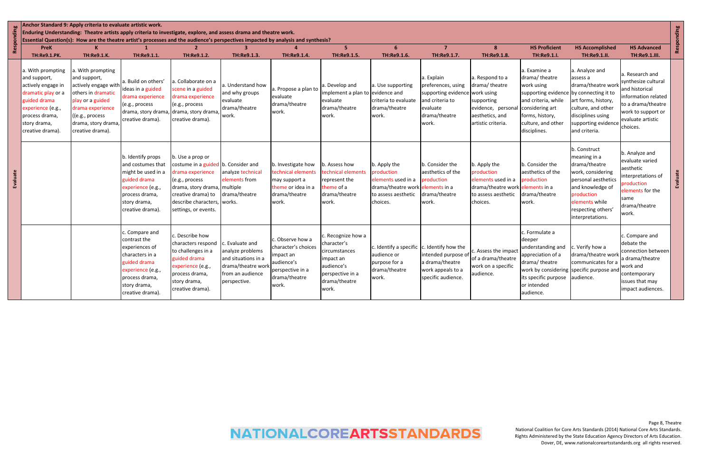|          |                                                                                                                                                                          | Anchor Standard 9: Apply criteria to evaluate artistic work.                                                                                                                          |                                                                                                                                                                | Enduring Understanding: Theatre artists apply criteria to investigate, explore, and assess drama and theatre work.<br>Essential Question(s): How are the theatre artist's processes and the audience's perspectives impacted by analysis and synthesis? |                                                                                                                      |                                                                                                                 |                                                                                                                            |                                                                                                                         |                                                                                                                             |                                                                                                                         |                                                                                                                                                                                     |                                                                                                                                                                                         |                                                                                                                                                             |       |
|----------|--------------------------------------------------------------------------------------------------------------------------------------------------------------------------|---------------------------------------------------------------------------------------------------------------------------------------------------------------------------------------|----------------------------------------------------------------------------------------------------------------------------------------------------------------|---------------------------------------------------------------------------------------------------------------------------------------------------------------------------------------------------------------------------------------------------------|----------------------------------------------------------------------------------------------------------------------|-----------------------------------------------------------------------------------------------------------------|----------------------------------------------------------------------------------------------------------------------------|-------------------------------------------------------------------------------------------------------------------------|-----------------------------------------------------------------------------------------------------------------------------|-------------------------------------------------------------------------------------------------------------------------|-------------------------------------------------------------------------------------------------------------------------------------------------------------------------------------|-----------------------------------------------------------------------------------------------------------------------------------------------------------------------------------------|-------------------------------------------------------------------------------------------------------------------------------------------------------------|-------|
| Respon   | <b>PreK</b>                                                                                                                                                              |                                                                                                                                                                                       |                                                                                                                                                                |                                                                                                                                                                                                                                                         | ್ನ                                                                                                                   |                                                                                                                 | 5 <sub>1</sub>                                                                                                             | 6                                                                                                                       | $\overline{7}$                                                                                                              | 8                                                                                                                       | <b>HS Proficient</b>                                                                                                                                                                | <b>HS Accomplished</b>                                                                                                                                                                  | <b>HS Advanced</b>                                                                                                                                          |       |
|          | TH:Re9.1.PK.                                                                                                                                                             | TH:Re9.1.K.                                                                                                                                                                           | TH:Re9.1.1.                                                                                                                                                    | TH:Re9.1.2.                                                                                                                                                                                                                                             | TH:Re9.1.3.                                                                                                          | TH:Re9.1.4.                                                                                                     | TH:Re9.1.5.                                                                                                                | TH:Re9.1.6.                                                                                                             | TH:Re9.1.7.                                                                                                                 | TH:Re9.1.8.                                                                                                             | TH:Re9.1.I.                                                                                                                                                                         | TH:Re9.1.II.                                                                                                                                                                            | TH:Re9.1.III.                                                                                                                                               |       |
|          | a. With prompting<br>and support,<br>actively engage in<br>dramatic play or a<br>guided drama<br>experience (e.g.,<br>process drama,<br>story drama,<br>creative drama). | a. With prompting<br>and support,<br>actively engage with<br>others in dramatic<br>play or a guided<br>drama experience<br>((e.g., process)<br>drama, story drama<br>creative drama). | a. Build on others'<br>ideas in a guided<br>drama experience<br>(e.g., process<br>drama, story drama<br>creative drama).                                       | . Collaborate on a<br>scene in a guided<br>drama experience<br>(e.g., process<br>drama, story drama<br>creative drama).                                                                                                                                 | a. Understand how<br>and why groups<br>evaluate<br>drama/theatre<br>work.                                            | a. Propose a plan to<br>evaluate<br>drama/theatre<br>work.                                                      | a. Develop and<br>implement a plan to<br>evaluate<br>drama/theatre<br>work.                                                | a. Use supporting<br>evidence and<br>criteria to evaluate<br>drama/theatre<br>work.                                     | a. Explain<br>preferences, using<br>supporting evidence work using<br>and criteria to<br>evaluate<br>drama/theatre<br>work. | a. Respond to a<br>drama/theatre<br>supporting<br>evidence, persona<br>aesthetics, and<br>artistic criteria.            | a. Examine a<br>drama/theatre<br>work using<br>supporting evidence<br>and criteria, while<br>considering art<br>forms, history,<br>culture, and other<br>disciplines.               | a. Analyze and<br>assess a<br>drama/theatre wor<br>by connecting it to<br>art forms, history,<br>culture, and other<br>disciplines using<br>supporting evidence<br>and criteria.        | . Research and<br>synthesize cultural<br>and historical<br>information related<br>to a drama/theatre<br>work to support or<br>evaluate artistic<br>choices. |       |
| Evaluate |                                                                                                                                                                          |                                                                                                                                                                                       | b. Identify props<br>and costumes that<br>might be used in a<br>guided drama<br>experience (e.g.,<br>process drama,<br>story drama,<br>creative drama).        | b. Use a prop or<br>costume in a guided b. Consider and<br>drama experience<br>(e.g., process<br>drama, story drama, multiple<br>creative drama) to<br>describe characters, works.<br>settings, or events.                                              | analyze technical<br>elements from<br>drama/theatre                                                                  | b. Investigate how<br>technical elements<br>may support a<br>theme or idea in a<br>drama/theatre<br>work.       | b. Assess how<br>technical elements<br>represent the<br>theme of a<br>drama/theatre<br>work.                               | b. Apply the<br>oroduction<br>elements used in a<br>drama/theatre work elements in a<br>to assess aesthetic<br>choices. | b. Consider the<br>aesthetics of the<br>production<br>drama/theatre<br>work.                                                | b. Apply the<br>production<br>elements used in a<br>drama/theatre work elements in a<br>to assess aesthetic<br>choices. | b. Consider the<br>aesthetics of the<br><b>production</b><br>drama/theatre<br>work.                                                                                                 | b. Construct<br>meaning in a<br>drama/theatre<br>work, considering<br>personal aesthetics<br>and knowledge of<br>production<br>elements while<br>respecting others'<br>interpretations. | b. Analyze and<br>evaluate varied<br>aesthetic<br>interpretations of<br>production<br>elements for the<br>same<br>drama/theatre<br>work.                    | Evalu |
|          |                                                                                                                                                                          |                                                                                                                                                                                       | c. Compare and<br>contrast the<br>experiences of<br>characters in a<br>guided drama<br>experience (e.g.,<br>process drama,<br>story drama,<br>creative drama). | . Describe how<br>characters respond<br>to challenges in a<br>guided drama<br>experience (e.g.,<br>process drama,<br>story drama,<br>creative drama).                                                                                                   | c. Evaluate and<br>analyze problems<br>and situations in a<br>drama/theatre work<br>from an audience<br>perspective. | . Observe how a<br>character's choices<br>impact an<br>audience's<br>perspective in a<br>drama/theatre<br>work. | . Recognize how a<br>character's<br>circumstances<br>impact an<br>audience's<br>perspective in a<br>drama/theatre<br>work. | c. Identify a specific $\vert c$ . Identify how the<br>audience or<br>purpose for a<br>drama/theatre<br>work.           | intended purpose of<br>a drama/theatre<br>work appeals to a<br>specific audience.                                           | c. Assess the impact<br>of a drama/theatre<br>work on a specific<br>audience.                                           | c. Formulate a<br>deeper<br>understanding and<br>appreciation of a<br>drama/ theatre<br>work by considering specific purpose an<br>its specific purpose<br>or intended<br>audience. | c. Verify how a<br>drama/theatre work<br>communicates for a<br>audience.                                                                                                                | c. Compare and<br>debate the<br>connection between<br>a drama/theatre<br>work and<br>contemporary<br>issues that may<br>impact audiences.                   |       |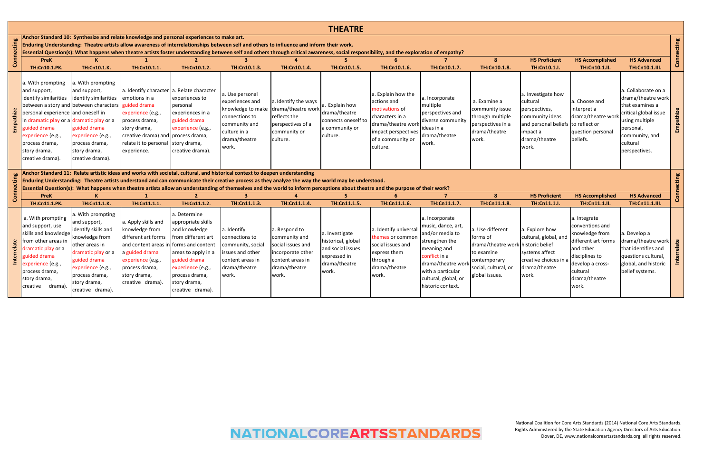|                    |                                                                                                                                                                                                                                                                                   |                                                                                                                                                                                                               |                                                                                                                                                                                                                                                                                   |                                                                                                                                                                                             |                                                                                                                                                         |                                                                                                                        | <b>THEATRE</b>                                                                                      |                                                                                                                                                                                          |                                                                                                                                                                                                   |                                                                                                                                                   |                                                                                                                                  |                                                                                                                                                                   |                                                                                                                                                                     |               |
|--------------------|-----------------------------------------------------------------------------------------------------------------------------------------------------------------------------------------------------------------------------------------------------------------------------------|---------------------------------------------------------------------------------------------------------------------------------------------------------------------------------------------------------------|-----------------------------------------------------------------------------------------------------------------------------------------------------------------------------------------------------------------------------------------------------------------------------------|---------------------------------------------------------------------------------------------------------------------------------------------------------------------------------------------|---------------------------------------------------------------------------------------------------------------------------------------------------------|------------------------------------------------------------------------------------------------------------------------|-----------------------------------------------------------------------------------------------------|------------------------------------------------------------------------------------------------------------------------------------------------------------------------------------------|---------------------------------------------------------------------------------------------------------------------------------------------------------------------------------------------------|---------------------------------------------------------------------------------------------------------------------------------------------------|----------------------------------------------------------------------------------------------------------------------------------|-------------------------------------------------------------------------------------------------------------------------------------------------------------------|---------------------------------------------------------------------------------------------------------------------------------------------------------------------|---------------|
| Connecting         |                                                                                                                                                                                                                                                                                   |                                                                                                                                                                                                               | Anchor Standard 10: Synthesize and relate knowledge and personal experiences to make art.<br>Enduring Understanding: Theatre artists allow awareness of interrelationships between self and others to influence and inform their work.                                            |                                                                                                                                                                                             |                                                                                                                                                         |                                                                                                                        |                                                                                                     | Essential Question(s): What happens when theatre artists foster understanding between self and others through critical awareness, social responsibility, and the exploration of empathy? |                                                                                                                                                                                                   |                                                                                                                                                   |                                                                                                                                  |                                                                                                                                                                   |                                                                                                                                                                     | ecting        |
|                    | <b>PreK</b>                                                                                                                                                                                                                                                                       |                                                                                                                                                                                                               |                                                                                                                                                                                                                                                                                   |                                                                                                                                                                                             | 3                                                                                                                                                       |                                                                                                                        | -5                                                                                                  | 6                                                                                                                                                                                        | 7                                                                                                                                                                                                 | 8                                                                                                                                                 | <b>HS Proficient</b>                                                                                                             | <b>HS Accomplished</b>                                                                                                                                            | <b>HS Advanced</b>                                                                                                                                                  | Conn          |
|                    | <b>TH:Cn10.1.PK.</b>                                                                                                                                                                                                                                                              | TH:Cn10.1.K.                                                                                                                                                                                                  | TH:Cn10.1.1.                                                                                                                                                                                                                                                                      | TH:Cn10.1.2.                                                                                                                                                                                | TH:Cn10.1.3.                                                                                                                                            | TH:Cn10.1.4.                                                                                                           | TH:Cn10.1.5.                                                                                        | TH:Cn10.1.6.                                                                                                                                                                             | TH:Cn10.1.7.                                                                                                                                                                                      | TH:Cn10.1.8.                                                                                                                                      | TH:Cn10.1.I.                                                                                                                     | TH:Cn10.1.II.                                                                                                                                                     | TH:Cn10.1.III.                                                                                                                                                      |               |
| Empathize          | a. With prompting<br>and support,<br>identify similarities<br>between a story and between characters<br>personal experience and oneself in<br>in dramatic play or a dramatic play or a<br>guided drama<br>experience (e.g.,<br>process drama,<br>story drama,<br>creative drama). | a. With prompting<br>and support,<br>identify similarities<br>guided drama<br>experience (e.g.,<br>process drama,<br>story drama,<br>creative drama).                                                         | a. Identify character a. Relate character<br>emotions in a<br>guided drama<br>experience (e.g.,<br>process drama,<br>story drama,<br>creative drama) and process drama,<br>relate it to personal story drama,<br>experience.                                                      | experiences to<br>personal<br>experiences in a<br>guided drama<br>experience (e.g.,<br>creative drama).                                                                                     | a. Use personal<br>experiences and<br>knowledge to make drama/theatre work<br>connections to<br>community and<br>culture in a<br>drama/theatre<br>work. | a. Identify the ways<br>reflects the<br>perspectives of a<br>community or<br>culture.                                  | a. Explain how<br>drama/theatre<br>connects oneself to<br>a community or<br>culture.                | a. Explain how the<br>actions and<br>motivations of<br>characters in a<br>drama/theatre work<br>impact perspectives<br>of a community or<br>culture.                                     | a. Incorporate<br>multiple<br>perspectives and<br>diverse community<br>ideas in a<br>drama/theatre<br>work.                                                                                       | a. Examine a<br>community issue<br>through multiple<br>perspectives in a<br>drama/theatre<br>work.                                                | a. Investigate how<br>cultural<br>perspectives,<br>community ideas<br>and personal beliefs<br>impact a<br>drama/theatre<br>work. | a. Choose and<br>interpret a<br>drama/theatre wo<br>to reflect or<br>question personal<br>beliefs.                                                                | a. Collaborate on a<br>drama/theatre work<br>that examines a<br>critical global issue<br>using multiple<br>personal,<br>community, and<br>cultural<br>perspectives. | Empathize     |
| Connecting         |                                                                                                                                                                                                                                                                                   |                                                                                                                                                                                                               | Anchor Standard 11: Relate artistic ideas and works with societal, cultural, and historical context to deepen understanding<br>Enduring Understanding: Theatre artists understand and can communicate their creative process as they analyze the way the world may be understood. |                                                                                                                                                                                             |                                                                                                                                                         |                                                                                                                        |                                                                                                     |                                                                                                                                                                                          |                                                                                                                                                                                                   |                                                                                                                                                   |                                                                                                                                  |                                                                                                                                                                   |                                                                                                                                                                     | ecting        |
|                    |                                                                                                                                                                                                                                                                                   |                                                                                                                                                                                                               |                                                                                                                                                                                                                                                                                   |                                                                                                                                                                                             |                                                                                                                                                         |                                                                                                                        |                                                                                                     | Essential Question(s): What happens when theatre artists allow an understanding of themselves and the world to inform perceptions about theatre and the purpose of their work?           |                                                                                                                                                                                                   |                                                                                                                                                   |                                                                                                                                  |                                                                                                                                                                   |                                                                                                                                                                     |               |
|                    | <b>PreK</b>                                                                                                                                                                                                                                                                       |                                                                                                                                                                                                               |                                                                                                                                                                                                                                                                                   |                                                                                                                                                                                             |                                                                                                                                                         |                                                                                                                        |                                                                                                     |                                                                                                                                                                                          |                                                                                                                                                                                                   | 8                                                                                                                                                 | <b>HS Proficient</b>                                                                                                             | <b>HS Accomplished</b>                                                                                                                                            | <b>HS Advanced</b>                                                                                                                                                  | <b>S</b>      |
|                    | TH:Cn11.1.PK.                                                                                                                                                                                                                                                                     | TH:Cn11.1.K.                                                                                                                                                                                                  | TH:Cn11.1.1.                                                                                                                                                                                                                                                                      | TH:Cn11.1.2.                                                                                                                                                                                | TH:Cn11.1.3.                                                                                                                                            | TH:Cn11.1.4.                                                                                                           | TH:Cn11.1.5.                                                                                        | TH:Cn11.1.6.                                                                                                                                                                             | TH:Cn11.1.7.                                                                                                                                                                                      | TH:Cn11.1.8.                                                                                                                                      | TH:Cn11.1.I.                                                                                                                     | TH:Cn11.1.II.                                                                                                                                                     | TH:Cn11.1.III.                                                                                                                                                      |               |
| <b>Interrelate</b> | a. With prompting<br>and support, use<br>skills and knowledge<br>from other areas in<br>dramatic play or a<br>guided drama<br>experience (e.g.,<br>process drama,<br>story drama,<br>creative drama)                                                                              | a. With prompting<br>and support,<br>identify skills and<br>knowledge from<br>other areas in<br>dramatic play or a<br>guided drama<br>experience (e.g.,<br>process drama,<br>story drama,<br>creative drama). | a. Apply skills and<br>knowledge from<br>different art forms<br>and content areas in forms and content<br>a guided drama<br>experience (e.g.,<br>process drama,<br>story drama,<br>creative drama).                                                                               | a. Determine<br>appropriate skills<br>and knowledge<br>from different art<br>areas to apply in a<br>guided drama<br>experience (e.g.,<br>process drama,<br>story drama,<br>creative drama). | a. Identify<br>connections to<br>community, social<br>issues and other<br>content areas in<br>drama/theatre<br>work.                                    | a. Respond to<br>community and<br>social issues and<br>incorporate other<br>content areas in<br>drama/theatre<br>work. | a. Investigate<br>historical, global<br>and social issues<br>expressed in<br>drama/theatre<br>work. | a. Identify universal<br>hemes or common<br>social issues and<br>express them<br>through a<br>drama/theatre<br>work.                                                                     | a. Incorporate<br>music, dance, art,<br>and/or media to<br>strengthen the<br>meaning and<br>conflict in a<br>drama/theatre work<br>with a particular<br>cultural, global, or<br>historic context. | . Use different<br>f <b>orms of</b><br>drama/theatre work historic belief<br>to examine<br>contemporary<br>social, cultural, or<br>global issues. | a. Explore how<br>cultural, global, and<br>systems affect<br>creative choices in a<br>drama/theatre<br>work.                     | a. Integrate<br>conventions and<br>knowledge from<br>different art forms<br>and other<br>disciplines to<br>develop a cross-<br>cultural<br>drama/theatre<br>work. | a. Develop a<br>drama/theatre work<br>that identifies and<br>questions cultural,<br>global, and historic<br>belief systems.                                         | elate<br>Inte |